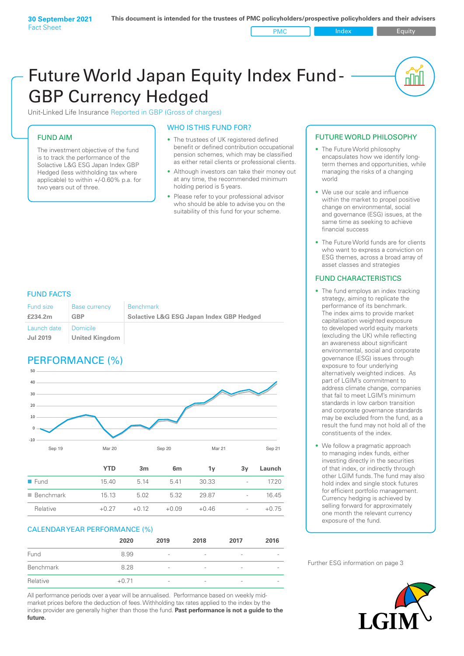# Future World Japan Equity Index Fund - GBP Currency Hedged

Unit-Linked Life Insurance Reported in GBP (Gross of charges)

#### FUND AIM

The investment objective of the fund is to track the performance of the Solactive L&G ESG Japan Index GBP Hedged (less withholding tax where applicable) to within +/-0.60% p.a. for two years out of three.

#### WHO IS THIS FUND FOR?

- The trustees of UK registered defined benefit or defined contribution occupational pension schemes, which may be classified as either retail clients or professional clients.
- Although investors can take their money out at any time, the recommended minimum holding period is 5 years.
- Please refer to your professional advisor who should be able to advise you on the suitability of this fund for your scheme.

#### FUND FACTS

| <b>Fund size</b><br>£234.2m | <b>Base currency</b><br>GBP | <b>Benchmark</b><br><b>Solactive L&amp;G ESG Japan Index GBP Hedged</b> |
|-----------------------------|-----------------------------|-------------------------------------------------------------------------|
| Launch date                 | Domicile                    |                                                                         |
| Jul 2019                    | <b>United Kingdom</b>       |                                                                         |

# PERFORMANCE (%)



#### CALENDAR YEAR PERFORMANCE (%)

|           | 2020    | 2019                     | 2018                     | 2017            | 2016 |
|-----------|---------|--------------------------|--------------------------|-----------------|------|
| Fund      | 8.99    | $\overline{\phantom{a}}$ | $\overline{\phantom{a}}$ | $\qquad \qquad$ |      |
| Benchmark | 8.28    | $\overline{\phantom{a}}$ | $\overline{\phantom{a}}$ | -               |      |
| Relative  | $+0.71$ | $\overline{\phantom{a}}$ | $\overline{\phantom{a}}$ | $\qquad \qquad$ |      |

Relative +0.27 +0.12 +0.09 +0.46 - +0.75

All performance periods over a year will be annualised. Performance based on weekly midmarket prices before the deduction of fees. Withholding tax rates applied to the index by the index provider are generally higher than those the fund. **Past performance is not a guide to the future.**

#### FUTURE WORLD PHILOSOPHY

• The Future World philosophy encapsulates how we identify longterm themes and opportunities, while managing the risks of a changing world

<u>nul</u>

- We use our scale and influence within the market to propel positive change on environmental, social and governance (ESG) issues, at the same time as seeking to achieve financial success
- The Future World funds are for clients who want to express a conviction on ESG themes, across a broad array of asset classes and strategies

#### FUND CHARACTERISTICS

- The fund employs an index tracking strategy, aiming to replicate the performance of its benchmark. The index aims to provide market capitalisation weighted exposure to developed world equity markets (excluding the UK) while reflecting an awareness about significant environmental, social and corporate governance (ESG) issues through exposure to four underlying alternatively weighted indices. As part of LGIM's commitment to address climate change, companies that fail to meet LGIM's minimum standards in low carbon transition and corporate governance standards may be excluded from the fund, as a result the fund may not hold all of the constituents of the index.
- We follow a pragmatic approach to managing index funds, either investing directly in the securities of that index, or indirectly through other LGIM funds. The fund may also hold index and single stock futures for efficient portfolio management. Currency hedging is achieved by selling forward for approximately one month the relevant currency exposure of the fund.

Further ESG information on page 3

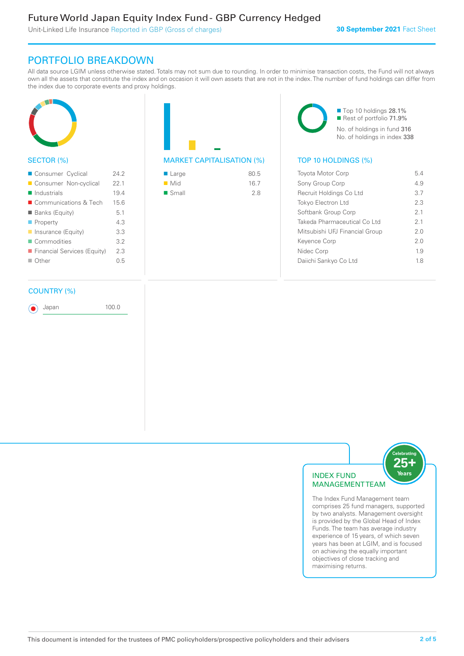# Future World Japan Equity Index Fund - GBP Currency Hedged

Unit-Linked Life Insurance Reported in GBP (Gross of charges)

## PORTFOLIO BREAKDOWN

All data source LGIM unless otherwise stated. Totals may not sum due to rounding. In order to minimise transaction costs, the Fund will not always own all the assets that constitute the index and on occasion it will own assets that are not in the index. The number of fund holdings can differ from the index due to corporate events and proxy holdings.



#### SECTOR (%)

| Consumer Cyclical           | 24.2 |
|-----------------------------|------|
| Consumer Non-cyclical       | 22.1 |
| $\blacksquare$ Industrials  | 19.4 |
| ■ Communications & Tech     | 15.6 |
| <b>Banks (Equity)</b>       | 5.1  |
| $\blacksquare$ Property     | 4.3  |
| Insurance (Equity)          | 3.3  |
| Commodities                 | 3.2  |
| Financial Services (Equity) | 2.3  |
| $\Box$ Other                | 0.5  |
|                             |      |

#### COUNTRY (%)

Japan 100.0

MARKET CAPITALISATION (%) TOP 10 HOLDINGS (%)

| ■ Large              | 80.5 |
|----------------------|------|
| $\blacksquare$ Mid   | 16.7 |
| $\blacksquare$ Small | 2.8  |

■ Top 10 holdings 28.1% ■ Rest of portfolio 71.9% No. of holdings in fund 316 No. of holdings in index 338

| <b>Toyota Motor Corp</b>       | 54  |
|--------------------------------|-----|
| Sony Group Corp                | 49  |
| Recruit Holdings Co Ltd        | 3.7 |
| <b>Tokyo Electron Ltd</b>      | 2.3 |
| Softbank Group Corp            | 21  |
| Takeda Pharmaceutical Co Ltd   | 21  |
| Mitsubishi UFJ Financial Group | 20  |
| Keyence Corp                   | 20  |
| Nidec Corp                     | 19  |
| Daiichi Sankyo Co Ltd          | 18  |
|                                |     |



The Index Fund Management team comprises 25 fund managers, supported by two analysts. Management oversight is provided by the Global Head of Index Funds. The team has average industry experience of 15 years, of which seven years has been at LGIM, and is focused on achieving the equally important objectives of close tracking and maximising returns.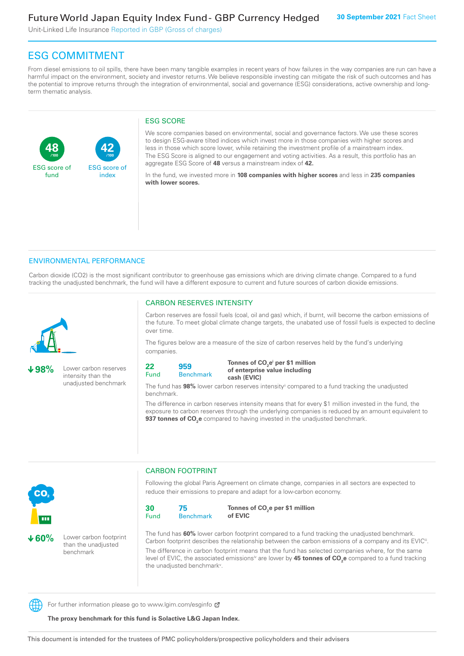Unit-Linked Life Insurance Reported in GBP (Gross of charges)

**42**

ESG score of index

# ESG COMMITMENT

From diesel emissions to oil spills, there have been many tangible examples in recent years of how failures in the way companies are run can have a harmful impact on the environment, society and investor returns. We believe responsible investing can mitigate the risk of such outcomes and has the potential to improve returns through the integration of environmental, social and governance (ESG) considerations, active ownership and longterm thematic analysis.

#### ESG SCORE

We score companies based on environmental, social and governance factors. We use these scores to design ESG-aware tilted indices which invest more in those companies with higher scores and less in those which score lower, while retaining the investment profile of a mainstream index. The ESG Score is aligned to our engagement and voting activities. As a result, this portfolio has an aggregate ESG Score of **48** versus a mainstream index of **42.**

In the fund, we invested more in **108 companies with higher scores** and less in **235 companies with lower scores.**

#### ENVIRONMENTAL PERFORMANCE

**/100 /100**

Carbon dioxide (CO2) is the most significant contributor to greenhouse gas emissions which are driving climate change. Compared to a fund tracking the unadjusted benchmark, the fund will have a different exposure to current and future sources of carbon dioxide emissions.



**48**

ESG score of fund

**98%** Lower carbon reserves intensity than the unadjusted benchmark

#### CARBON RESERVES INTENSITY

Carbon reserves are fossil fuels (coal, oil and gas) which, if burnt, will become the carbon emissions of the future. To meet global climate change targets, the unabated use of fossil fuels is expected to decline over time.

The figures below are a measure of the size of carbon reserves held by the fund's underlying companies.

```
22
Fund
         959
```
Benchmark

Tonnes of CO<sub>2</sub>e<sup>i</sup> per \$1 million **of enterprise value including cash (EVIC)**

The fund has **98%** lower carbon reserves intensityii compared to a fund tracking the unadjusted benchmark.

The difference in carbon reserves intensity means that for every \$1 million invested in the fund, the exposure to carbon reserves through the underlying companies is reduced by an amount equivalent to **937 tonnes of CO<sub>2</sub>e** compared to having invested in the unadjusted benchmark.



**60%** Lower carbon footprint than the unadjusted benchmark

CARBON FOOTPRINT

Following the global Paris Agreement on climate change, companies in all sectors are expected to reduce their emissions to prepare and adapt for a low-carbon economy.



Tonnes of CO<sub>2</sub>e per \$1 million **of EVIC**

The fund has **60%** lower carbon footprint compared to a fund tracking the unadjusted benchmark. Carbon footprint describes the relationship between the carbon emissions of a company and its EVIC<sup>ii</sup>. The difference in carbon footprint means that the fund has selected companies where, for the same level of EVIC, the associated emissionsi<sup>v</sup> are lower by **45 tonnes of CO<sub>2</sub>e** compared to a fund tracking the unadjusted benchmark<sup>v</sup>.

For further information please go to www.lgim.com/esginfo  $\sigma$ 

**The proxy benchmark for this fund is Solactive L&G Japan Index.**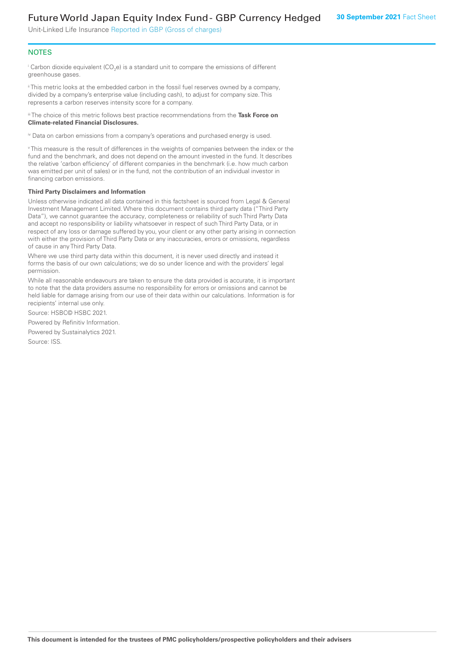# Future World Japan Equity Index Fund - GBP Currency Hedged

Unit-Linked Life Insurance Reported in GBP (Gross of charges)

#### **NOTES**

 $^\mathrm{i}$  Carbon dioxide equivalent (CO<sub>2</sub>e) is a standard unit to compare the emissions of different greenhouse gases.

ii This metric looks at the embedded carbon in the fossil fuel reserves owned by a company, divided by a company's enterprise value (including cash), to adjust for company size. This represents a carbon reserves intensity score for a company.

iii The choice of this metric follows best practice recommendations from the **Task Force on Climate-related Financial Disclosures.**

iv Data on carbon emissions from a company's operations and purchased energy is used.

v This measure is the result of differences in the weights of companies between the index or the fund and the benchmark, and does not depend on the amount invested in the fund. It describes the relative 'carbon efficiency' of different companies in the benchmark (i.e. how much carbon was emitted per unit of sales) or in the fund, not the contribution of an individual investor in financing carbon emissions.

#### **Third Party Disclaimers and Information**

Unless otherwise indicated all data contained in this factsheet is sourced from Legal & General Investment Management Limited. Where this document contains third party data ("Third Party Data"), we cannot guarantee the accuracy, completeness or reliability of such Third Party Data and accept no responsibility or liability whatsoever in respect of such Third Party Data, or in respect of any loss or damage suffered by you, your client or any other party arising in connection with either the provision of Third Party Data or any inaccuracies, errors or omissions, regardless of cause in any Third Party Data.

Where we use third party data within this document, it is never used directly and instead it forms the basis of our own calculations; we do so under licence and with the providers' legal permission.

While all reasonable endeavours are taken to ensure the data provided is accurate, it is important to note that the data providers assume no responsibility for errors or omissions and cannot be held liable for damage arising from our use of their data within our calculations. Information is for recipients' internal use only.

Source: HSBC© HSBC 2021.

Powered by Refinitiv Information.

Powered by Sustainalytics 2021.

Source: ISS.